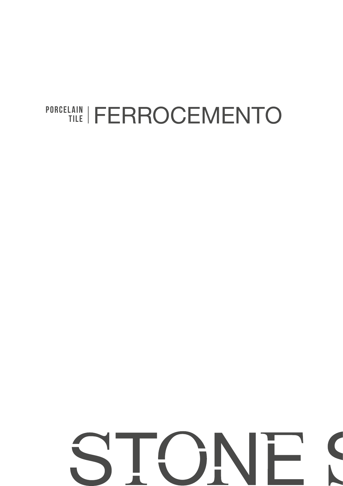# PORCELAIN | FERROCEMENTO

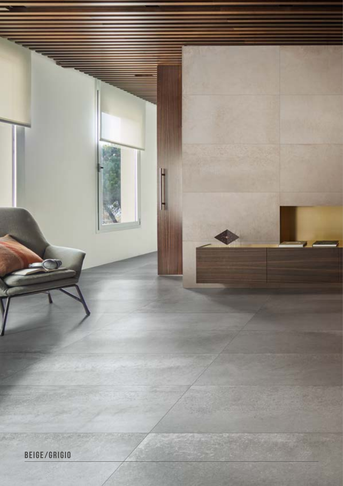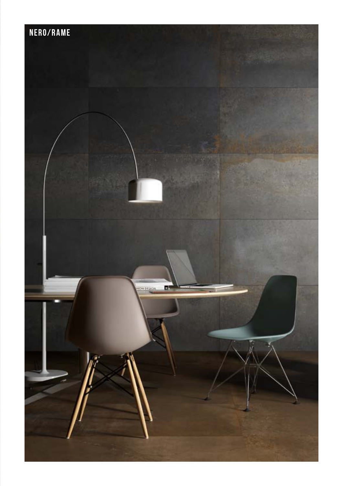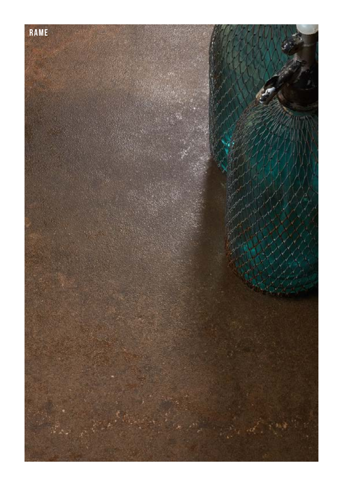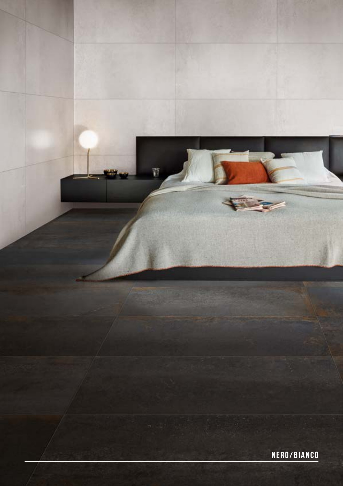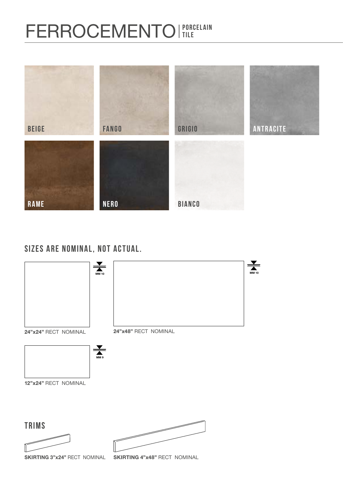## FERROCEMENTO PORCELAIN



### SIZES ARE NOMINAL, NOT ACTUAL.

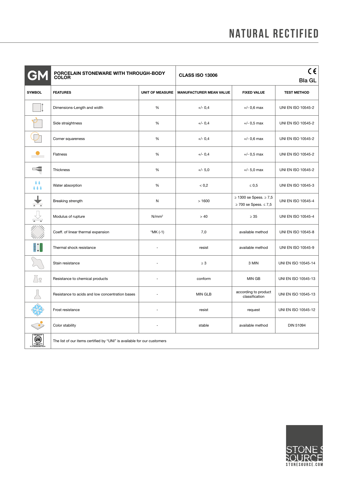### NATURAL RECTIFIED

|                       | PORCELAIN STONEWARE WITH THROUGH-BODY<br>COLOR                          |                        | <b>CLASS ISO 13006</b>         |                                                                     | $C \in$<br><b>Bla GL</b>  |
|-----------------------|-------------------------------------------------------------------------|------------------------|--------------------------------|---------------------------------------------------------------------|---------------------------|
| <b>SYMBOL</b>         | <b>FEATURES</b>                                                         | <b>UNIT OF MEASURE</b> | <b>MANUFACTURER MEAN VALUE</b> | <b>FIXED VALUE</b>                                                  | <b>TEST METHOD</b>        |
|                       | Dimensions-Length and width                                             | %                      | $+/- 0.4$                      | $+/- 0,6$ max                                                       | UNI EN ISO 10545-2        |
|                       | Side straightness                                                       | %                      | $+/- 0.4$                      | $+/- 0.5$ max                                                       | UNI EN ISO 10545-2        |
|                       | Corner squareness                                                       | $\%$                   | $+/- 0,4$                      | $+/- 0,6$ max                                                       | UNI EN ISO 10545-2        |
|                       | Flatness                                                                | %                      | $+/- 0.4$                      | $+/- 0.5$ max                                                       | UNI EN ISO 10545-2        |
|                       | Thickness                                                               | %                      | $+/- 5,0$                      | $+/- 5,0$ max                                                       | UNI EN ISO 10545-2        |
| $\bullet \bullet$<br> | Water absorption                                                        | %                      | < 0,2                          | $\leq 0,5$                                                          | UNI EN ISO 10545-3        |
|                       | Breaking strength                                                       | N                      | >1600                          | $\geq$ 1300 se Spess. $\geq$ 7,5<br>$\geq$ 700 se Spess. $\leq$ 7,5 | <b>UNI EN ISO 10545-4</b> |
|                       | Modulus of rupture                                                      | N/mm <sup>2</sup>      | >40                            | $\geq 35$                                                           | <b>UNI EN ISO 10545-4</b> |
|                       | Coeff. of linear thermal expansion                                      | $^{\circ}$ MK (-1)     | 7,0                            | available method                                                    | UNI EN ISO 10545-8        |
|                       | Thermal shock resistance                                                |                        | resist                         | available method                                                    | UNI EN ISO 10545-9        |
|                       | Stain resistance                                                        |                        | $\geq 3$                       | 3 MIN                                                               | UNI EN ISO 10545-14       |
| 7∫8                   | Resistance to chemical products                                         |                        | conform                        | MIN GB                                                              | UNI EN ISO 10545-13       |
|                       | Resistance to acids and low concentration bases                         |                        | MIN GLB                        | according to product<br>classification                              | UNI EN ISO 10545-13       |
|                       | Frost resistance                                                        |                        | resist                         | request                                                             | UNI EN ISO 10545-12       |
|                       | Color stability                                                         |                        | stable                         | available method                                                    | DIN 51094                 |
|                       | The list of our items certified by "UNI" is available for our customers |                        |                                |                                                                     |                           |